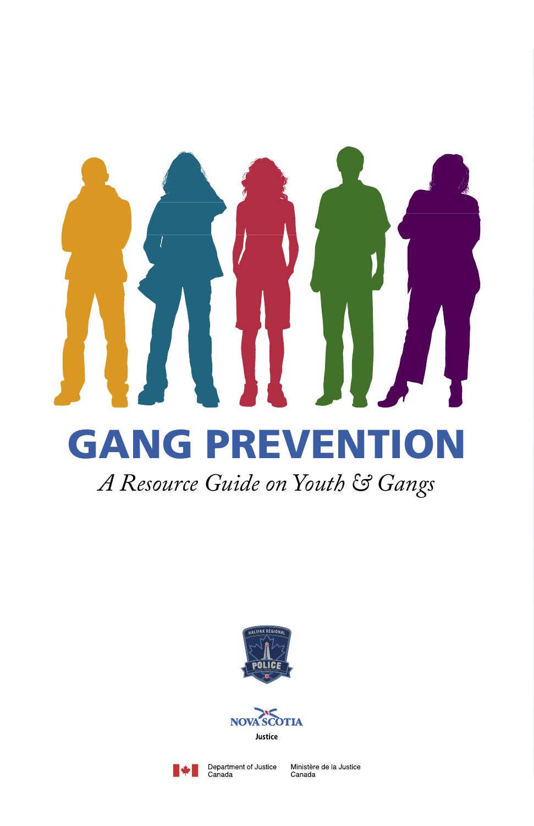# **GANG PREVEN**

# *A Resource Guide on Youth & Gangs*





Department of Justice<br>Canada

Ministère de la Justice Canada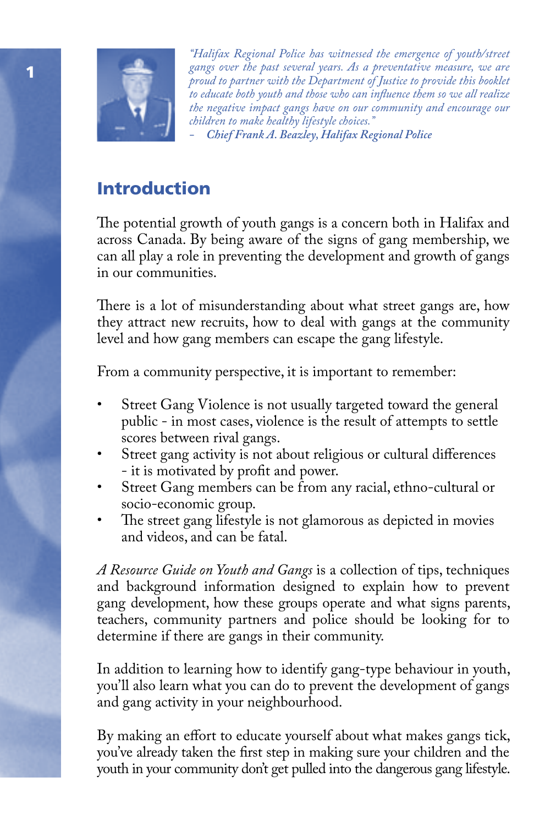

*"Halifax Regional Police has witnessed the emergence of youth/street gangs over the past several years. As a preventative measure, we are proud to partner with the Department of Justice to provide this booklet to educate both youth and those who can influence them so we all realize the negative impact gangs have on our community and encourage our children to make healthy lifestyle choices."* 

*- Chief Frank A. Beazley, Halifax Regional Police*

# Introduction

The potential growth of youth gangs is a concern both in Halifax and across Canada. By being aware of the signs of gang membership, we can all play a role in preventing the development and growth of gangs in our communities.

There is a lot of misunderstanding about what street gangs are, how they attract new recruits, how to deal with gangs at the community level and how gang members can escape the gang lifestyle.

From a community perspective, it is important to remember:

- Street Gang Violence is not usually targeted toward the general public - in most cases, violence is the result of attempts to settle scores between rival gangs.
- Street gang activity is not about religious or cultural differences - it is motivated by profit and power.
- Street Gang members can be from any racial, ethno-cultural or socio-economic group.
- The street gang lifestyle is not glamorous as depicted in movies and videos, and can be fatal.

*A Resource Guide on Youth and Gangs* is a collection of tips, techniques and background information designed to explain how to prevent gang development, how these groups operate and what signs parents, teachers, community partners and police should be looking for to determine if there are gangs in their community.

In addition to learning how to identify gang-type behaviour in youth, you'll also learn what you can do to prevent the development of gangs and gang activity in your neighbourhood.

By making an effort to educate yourself about what makes gangs tick, you've already taken the first step in making sure your children and the youth in your community don't get pulled into the dangerous gang lifestyle.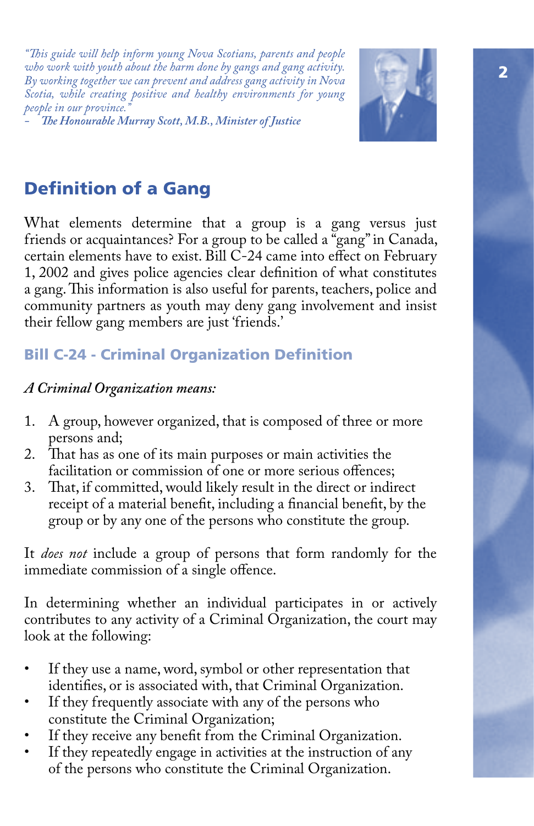*"This guide will help inform young Nova Scotians, parents and people who work with youth about the harm done by gangs and gang activity. By working together we can prevent and address gang activity in Nova Scotia, while creating positive and healthy environments for young people in our province.* 

*- The Honourable Murray Scott, M.B., Minister of Justice* 



# Definition of a Gang

What elements determine that a group is a gang versus just friends or acquaintances? For a group to be called a "gang" in Canada, certain elements have to exist. Bill C-24 came into effect on February 1, 2002 and gives police agencies clear definition of what constitutes a gang. This information is also useful for parents, teachers, police and community partners as youth may deny gang involvement and insist their fellow gang members are just 'friends.'

## Bill C-24 - Criminal Organization Definition

#### *A Criminal Organization means:*

- 1. A group, however organized, that is composed of three or more persons and;
- 2. That has as one of its main purposes or main activities the facilitation or commission of one or more serious offences;
- 3. That, if committed, would likely result in the direct or indirect receipt of a material benefit, including a financial benefit, by the group or by any one of the persons who constitute the group.

It *does not* include a group of persons that form randomly for the immediate commission of a single offence.

In determining whether an individual participates in or actively contributes to any activity of a Criminal Organization, the court may look at the following:

- If they use a name, word, symbol or other representation that identifies, or is associated with, that Criminal Organization.
- If they frequently associate with any of the persons who constitute the Criminal Organization;
- If they receive any benefit from the Criminal Organization.
- If they repeatedly engage in activities at the instruction of any of the persons who constitute the Criminal Organization.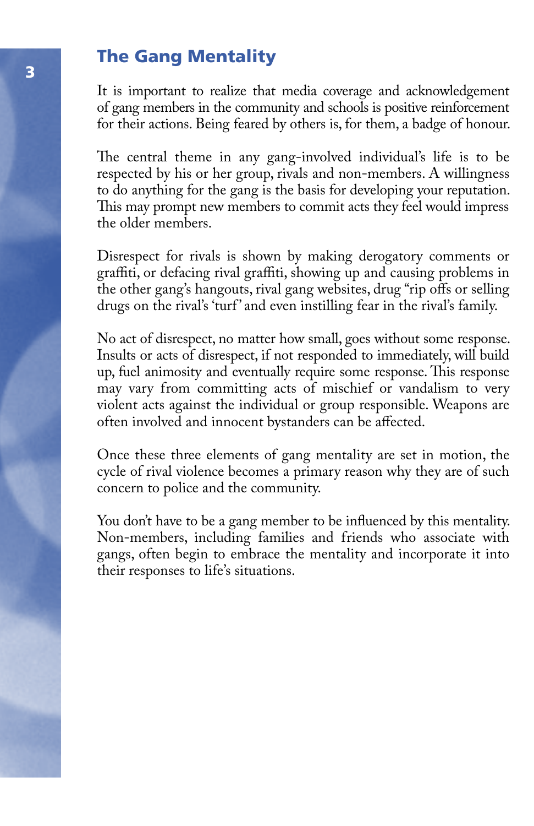## The Gang Mentality

It is important to realize that media coverage and acknowledgement of gang members in the community and schools is positive reinforcement for their actions. Being feared by others is, for them, a badge of honour.

The central theme in any gang-involved individual's life is to be respected by his or her group, rivals and non-members. A willingness to do anything for the gang is the basis for developing your reputation. This may prompt new members to commit acts they feel would impress the older members.

Disrespect for rivals is shown by making derogatory comments or graffiti, or defacing rival graffiti, showing up and causing problems in the other gang's hangouts, rival gang websites, drug "rip offs or selling drugs on the rival's 'turf' and even instilling fear in the rival's family.

No act of disrespect, no matter how small, goes without some response. Insults or acts of disrespect, if not responded to immediately, will build up, fuel animosity and eventually require some response. This response may vary from committing acts of mischief or vandalism to very violent acts against the individual or group responsible. Weapons are often involved and innocent bystanders can be affected.

Once these three elements of gang mentality are set in motion, the cycle of rival violence becomes a primary reason why they are of such concern to police and the community.

You don't have to be a gang member to be influenced by this mentality. Non-members, including families and friends who associate with gangs, often begin to embrace the mentality and incorporate it into their responses to life's situations.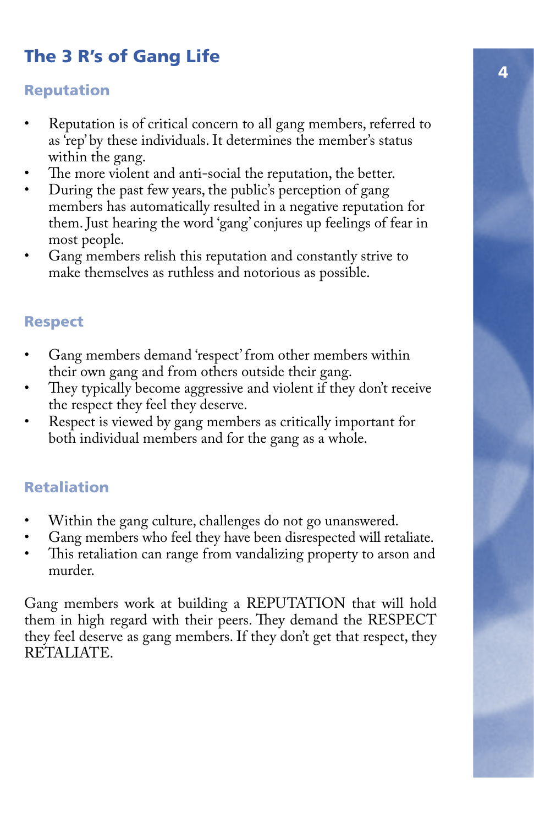# The 3 R's of Gang Life

#### Reputation

- Reputation is of critical concern to all gang members, referred to as 'rep' by these individuals. It determines the member's status within the gang.
- The more violent and anti-social the reputation, the better.
- During the past few years, the public's perception of gang members has automatically resulted in a negative reputation for them. Just hearing the word 'gang' conjures up feelings of fear in most people.
- Gang members relish this reputation and constantly strive to make themselves as ruthless and notorious as possible.

## Respect

- Gang members demand 'respect' from other members within their own gang and from others outside their gang.
- They typically become aggressive and violent if they don't receive the respect they feel they deserve.
- Respect is viewed by gang members as critically important for both individual members and for the gang as a whole.

## Retaliation

- Within the gang culture, challenges do not go unanswered.
- Gang members who feel they have been disrespected will retaliate.
- This retaliation can range from vandalizing property to arson and murder.

Gang members work at building a REPUTATION that will hold them in high regard with their peers. They demand the RESPECT they feel deserve as gang members. If they don't get that respect, they RETALIATE.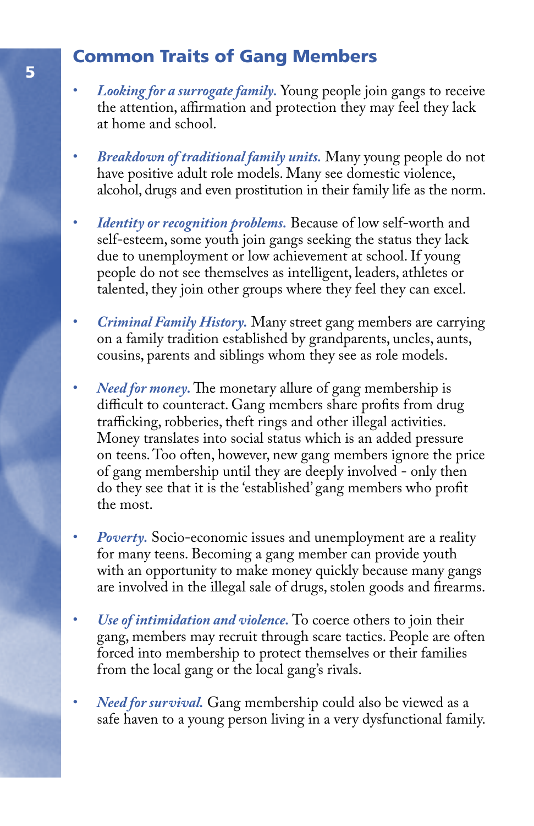## Common Traits of Gang Members

- *Looking for a surrogate family.* Young people join gangs to receive the attention, affirmation and protection they may feel they lack at home and school.
- *Breakdown of traditional family units.* Many young people do not have positive adult role models. Many see domestic violence, alcohol, drugs and even prostitution in their family life as the norm.
- *Identity or recognition problems.* Because of low self-worth and self-esteem, some youth join gangs seeking the status they lack due to unemployment or low achievement at school. If young people do not see themselves as intelligent, leaders, athletes or talented, they join other groups where they feel they can excel.
- *Criminal Family History.* Many street gang members are carrying on a family tradition established by grandparents, uncles, aunts, cousins, parents and siblings whom they see as role models.
- *Need for money.* The monetary allure of gang membership is difficult to counteract. Gang members share profits from drug trafficking, robberies, theft rings and other illegal activities. Money translates into social status which is an added pressure on teens. Too often, however, new gang members ignore the price of gang membership until they are deeply involved - only then do they see that it is the 'established' gang members who profit the most.
- *Poverty.* Socio-economic issues and unemployment are a reality for many teens. Becoming a gang member can provide youth with an opportunity to make money quickly because many gangs are involved in the illegal sale of drugs, stolen goods and firearms.
- *Use of intimidation and violence.* To coerce others to join their gang, members may recruit through scare tactics. People are often forced into membership to protect themselves or their families from the local gang or the local gang's rivals.
- *Need for survival.* Gang membership could also be viewed as a safe haven to a young person living in a very dysfunctional family.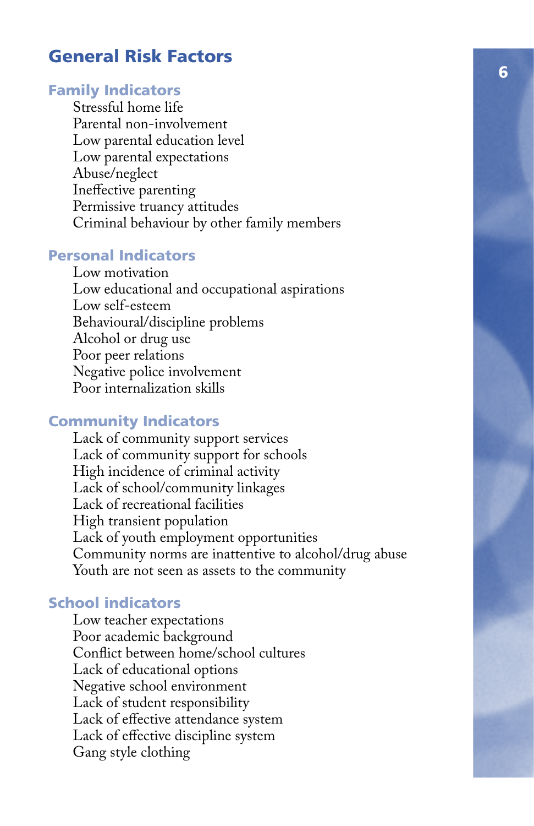## General Risk Factors

#### Family Indicators

 Stressful home life Parental non-involvement Low parental education level Low parental expectations Abuse/neglect Ineffective parenting Permissive truancy attitudes Criminal behaviour by other family members

#### Personal Indicators

 Low motivation Low educational and occupational aspirations Low self-esteem Behavioural/discipline problems Alcohol or drug use Poor peer relations Negative police involvement Poor internalization skills

#### Community Indicators

 Lack of community support services Lack of community support for schools High incidence of criminal activity Lack of school/community linkages Lack of recreational facilities High transient population Lack of youth employment opportunities Community norms are inattentive to alcohol/drug abuse Youth are not seen as assets to the community

#### School indicators

 Low teacher expectations Poor academic background Conflict between home/school cultures Lack of educational options Negative school environment Lack of student responsibility Lack of effective attendance system Lack of effective discipline system Gang style clothing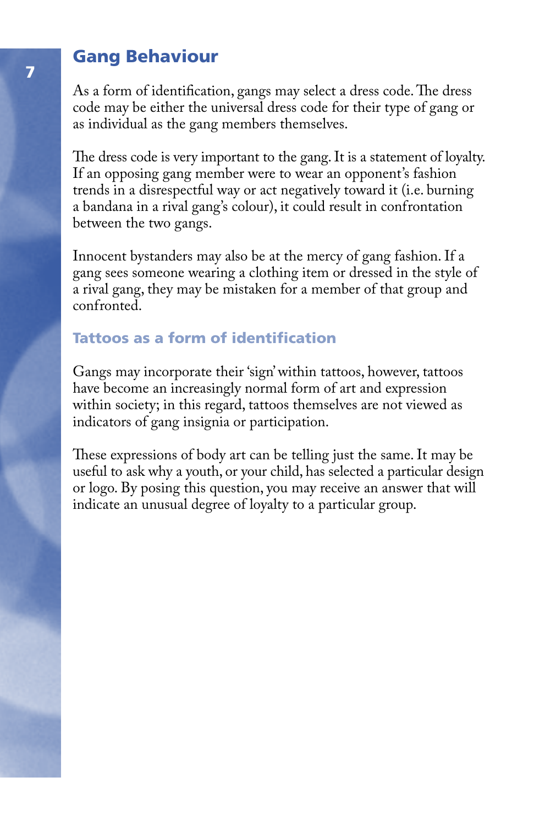## Gang Behaviour

As a form of identification, gangs may select a dress code. The dress code may be either the universal dress code for their type of gang or as individual as the gang members themselves.

The dress code is very important to the gang. It is a statement of loyalty. If an opposing gang member were to wear an opponent's fashion trends in a disrespectful way or act negatively toward it (i.e. burning a bandana in a rival gang's colour), it could result in confrontation between the two gangs.

Innocent bystanders may also be at the mercy of gang fashion. If a gang sees someone wearing a clothing item or dressed in the style of a rival gang, they may be mistaken for a member of that group and confronted.

## Tattoos as a form of identification

Gangs may incorporate their 'sign' within tattoos, however, tattoos have become an increasingly normal form of art and expression within society; in this regard, tattoos themselves are not viewed as indicators of gang insignia or participation.

These expressions of body art can be telling just the same. It may be useful to ask why a youth, or your child, has selected a particular design or logo. By posing this question, you may receive an answer that will indicate an unusual degree of loyalty to a particular group.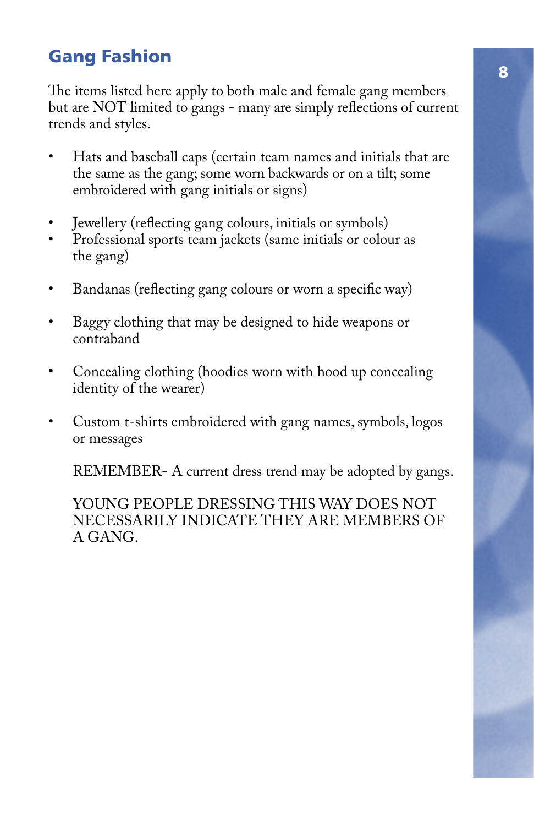# <sup>8</sup> Gang Fashion

The items listed here apply to both male and female gang members but are NOT limited to gangs - many are simply reflections of current trends and styles.

- Hats and baseball caps (certain team names and initials that are the same as the gang; some worn backwards or on a tilt; some embroidered with gang initials or signs)
- Jewellery (reflecting gang colours, initials or symbols)
- Professional sports team jackets (same initials or colour as the gang)
- Bandanas (reflecting gang colours or worn a specific way)
- Baggy clothing that may be designed to hide weapons or contraband
- Concealing clothing (hoodies worn with hood up concealing identity of the wearer)
- Custom t-shirts embroidered with gang names, symbols, logos or messages

REMEMBER- A current dress trend may be adopted by gangs.

 YOUNG PEOPLE DRESSING THIS WAY DOES NOT NECESSARILY INDICATE THEY ARE MEMBERS OF A GANG.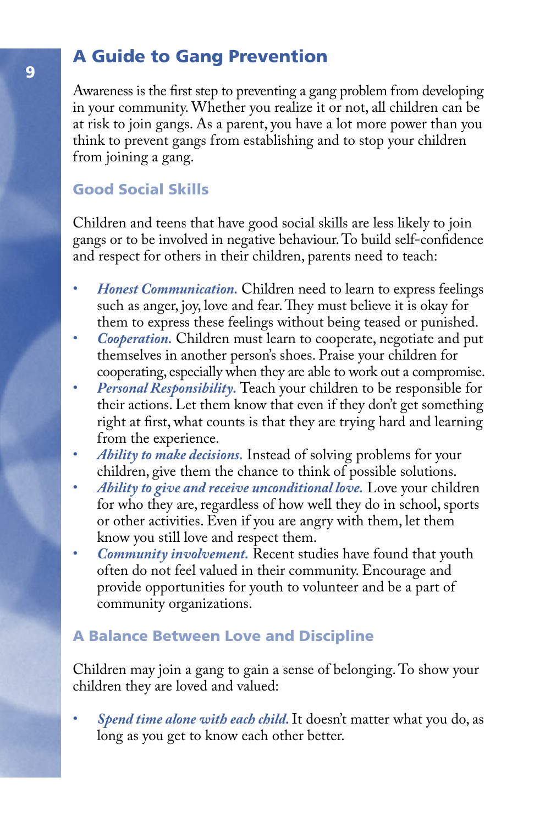# A Guide to Gang Prevention

Awareness is the first step to preventing a gang problem from developing in your community. Whether you realize it or not, all children can be at risk to join gangs. As a parent, you have a lot more power than you think to prevent gangs from establishing and to stop your children from joining a gang.

## Good Social Skills

Children and teens that have good social skills are less likely to join gangs or to be involved in negative behaviour. To build self-confidence and respect for others in their children, parents need to teach:

- *Honest Communication.* Children need to learn to express feelings such as anger, joy, love and fear. They must believe it is okay for them to express these feelings without being teased or punished.
- *Cooperation.* Children must learn to cooperate, negotiate and put themselves in another person's shoes. Praise your children for cooperating, especially when they are able to work out a compromise.
- *Personal Responsibility.* Teach your children to be responsible for their actions. Let them know that even if they don't get something right at first, what counts is that they are trying hard and learning from the experience.
- *Ability to make decisions.* Instead of solving problems for your children, give them the chance to think of possible solutions.
- • *Ability to give and receive unconditional love.* Love your children for who they are, regardless of how well they do in school, sports or other activities. Even if you are angry with them, let them know you still love and respect them.
- *Community involvement.* Recent studies have found that youth often do not feel valued in their community. Encourage and provide opportunities for youth to volunteer and be a part of community organizations.

## A Balance Between Love and Discipline

Children may join a gang to gain a sense of belonging. To show your children they are loved and valued:

• *Spend time alone with each child.* It doesn't matter what you do, as long as you get to know each other better.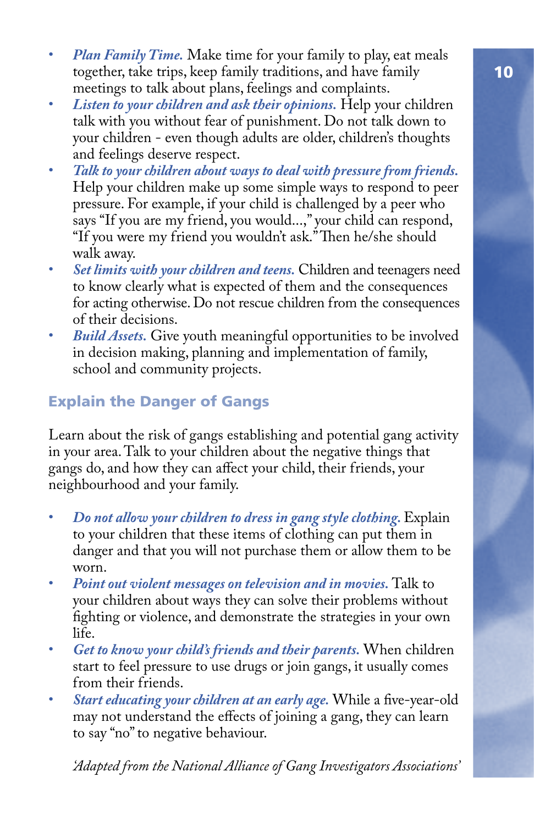- *Plan Family Time.* Make time for your family to play, eat meals together, take trips, keep family traditions, and have family meetings to talk about plans, feelings and complaints.
- *Listen to your children and ask their opinions.* Help your children talk with you without fear of punishment. Do not talk down to your children - even though adults are older, children's thoughts and feelings deserve respect.
- *Talk to your children about ways to deal with pressure from friends.* Help your children make up some simple ways to respond to peer pressure. For example, if your child is challenged by a peer who says "If you are my friend, you would...," your child can respond, "If you were my friend you wouldn't ask." Then he/she should walk away.
- *Set limits with your children and teens.* Children and teenagers need to know clearly what is expected of them and the consequences for acting otherwise. Do not rescue children from the consequences of their decisions.
- *Build Assets.* Give youth meaningful opportunities to be involved in decision making, planning and implementation of family, school and community projects.

## Explain the Danger of Gangs

Learn about the risk of gangs establishing and potential gang activity in your area. Talk to your children about the negative things that gangs do, and how they can affect your child, their friends, your neighbourhood and your family.

- *Do not allow your children to dress in gang style clothing.* Explain to your children that these items of clothing can put them in danger and that you will not purchase them or allow them to be worn.
- *Point out violent messages on television and in movies.* Talk to your children about ways they can solve their problems without fighting or violence, and demonstrate the strategies in your own life.
- *Get to know your child's friends and their parents.* When children start to feel pressure to use drugs or join gangs, it usually comes from their friends.
- *Start educating your children at an early age.* While a five-year-old may not understand the effects of joining a gang, they can learn to say "no" to negative behaviour.

*'Adapted from the National Alliance of Gang Investigators Associations'*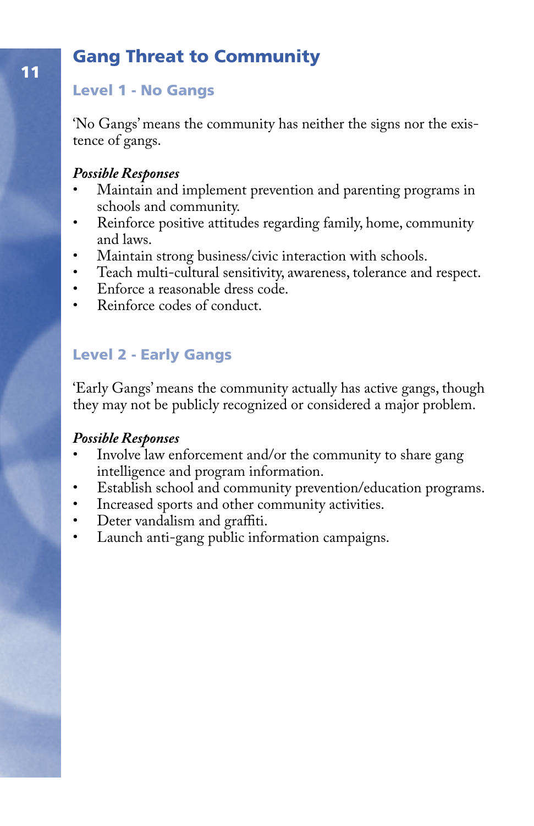# Gang Threat to Community

#### Level 1 - No Gangs

'No Gangs' means the community has neither the signs nor the existence of gangs.

#### *Possible Responses*

- Maintain and implement prevention and parenting programs in schools and community.
- Reinforce positive attitudes regarding family, home, community and laws.
- Maintain strong business/civic interaction with schools.
- Teach multi-cultural sensitivity, awareness, tolerance and respect.
- Enforce a reasonable dress code.
- Reinforce codes of conduct.

## Level 2 - Early Gangs

'Early Gangs' means the community actually has active gangs, though they may not be publicly recognized or considered a major problem.

#### *Possible Responses*

- Involve law enforcement and/or the community to share gang intelligence and program information.
- Establish school and community prevention/education programs.
- Increased sports and other community activities.
- Deter vandalism and graffiti.<br>• Launch anti-gang public info
- Launch anti-gang public information campaigns.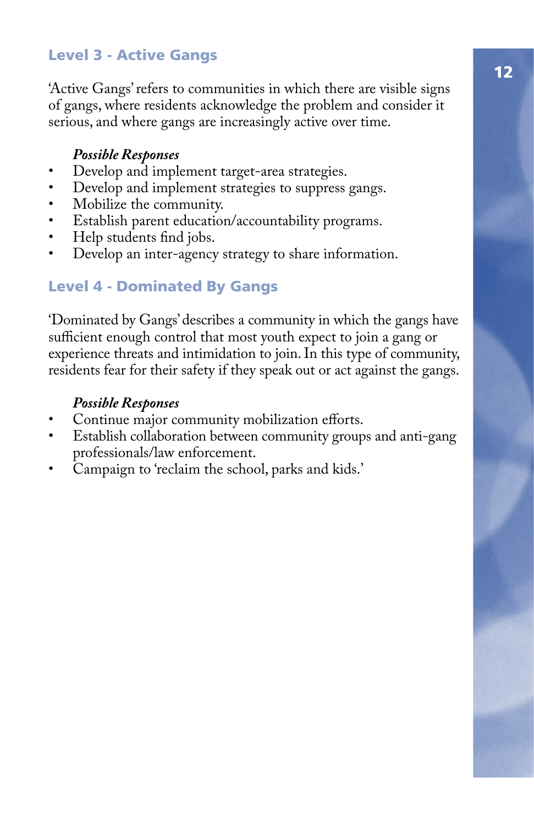## Level 3 - Active Gangs

'Active Gangs' refers to communities in which there are visible signs of gangs, where residents acknowledge the problem and consider it serious, and where gangs are increasingly active over time.

#### *Possible Responses*

- Develop and implement target-area strategies.
- Develop and implement strategies to suppress gangs.
- Mobilize the community.
- Establish parent education/accountability programs.
- Help students find jobs.
- Develop an inter-agency strategy to share information.

#### Level 4 - Dominated By Gangs

'Dominated by Gangs' describes a community in which the gangs have sufficient enough control that most youth expect to join a gang or experience threats and intimidation to join. In this type of community, residents fear for their safety if they speak out or act against the gangs.

#### *Possible Responses*

- Continue major community mobilization efforts.
- Establish collaboration between community groups and anti-gang professionals/law enforcement.
- Campaign to 'reclaim the school, parks and kids.'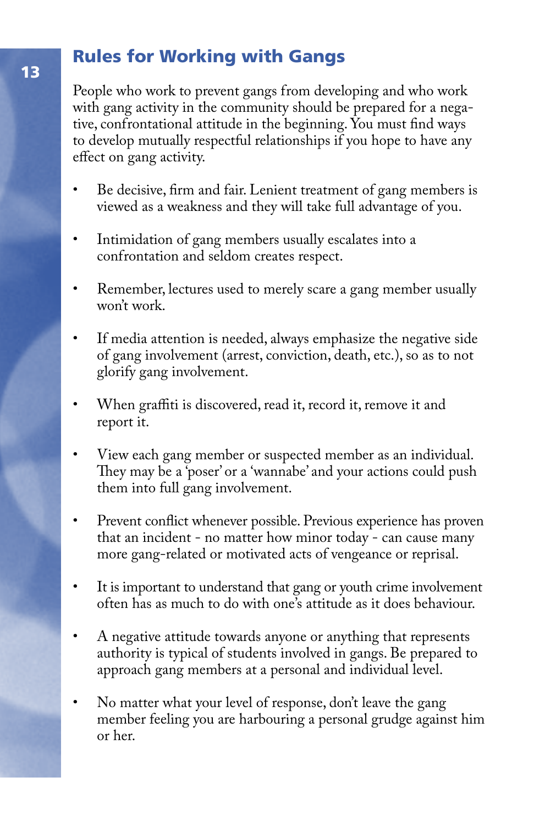# Rules for Working with Gangs

People who work to prevent gangs from developing and who work with gang activity in the community should be prepared for a negative, confrontational attitude in the beginning. You must find ways to develop mutually respectful relationships if you hope to have any effect on gang activity.

- Be decisive, firm and fair. Lenient treatment of gang members is viewed as a weakness and they will take full advantage of you.
- Intimidation of gang members usually escalates into a confrontation and seldom creates respect.
- Remember, lectures used to merely scare a gang member usually won't work.
- If media attention is needed, always emphasize the negative side of gang involvement (arrest, conviction, death, etc.), so as to not glorify gang involvement.
- When graffiti is discovered, read it, record it, remove it and report it.
- View each gang member or suspected member as an individual. They may be a 'poser' or a 'wannabe' and your actions could push them into full gang involvement.
- Prevent conflict whenever possible. Previous experience has proven that an incident - no matter how minor today - can cause many more gang-related or motivated acts of vengeance or reprisal.
- It is important to understand that gang or youth crime involvement often has as much to do with one's attitude as it does behaviour.
- A negative attitude towards anyone or anything that represents authority is typical of students involved in gangs. Be prepared to approach gang members at a personal and individual level.
- No matter what your level of response, don't leave the gang member feeling you are harbouring a personal grudge against him or her.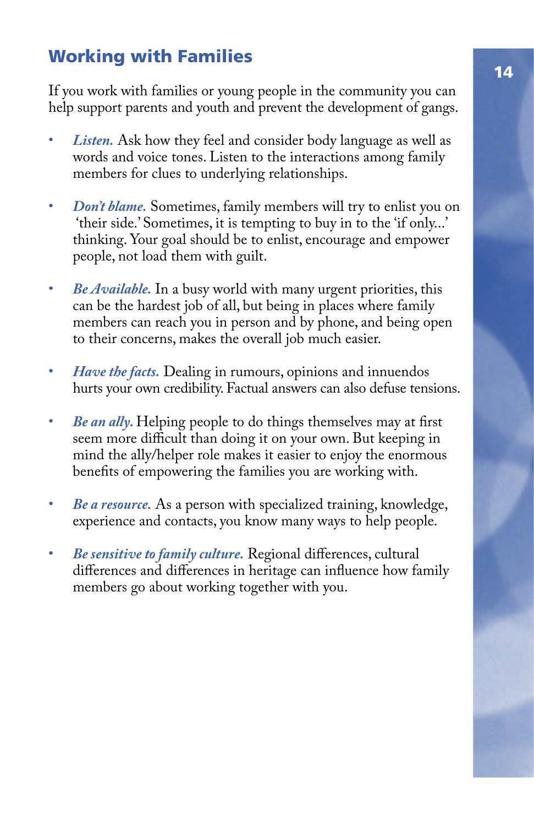# Working with Families

If you work with families or young people in the community you can help support parents and youth and prevent the development of gangs.

- Listen. Ask how they feel and consider body language as well as words and voice tones. Listen to the interactions among family members for clues to underlying relationships.
- *Don't blame.* Sometimes, family members will try to enlist you on 'their side.' Sometimes, it is tempting to buy in to the 'if only...' thinking. Your goal should be to enlist, encourage and empower people, not load them with guilt.
- *Be Available.* In a busy world with many urgent priorities, this can be the hardest job of all, but being in places where family members can reach you in person and by phone, and being open to their concerns, makes the overall job much easier.
- *Have the facts.* Dealing in rumours, opinions and innuendos hurts your own credibility. Factual answers can also defuse tensions.
- *Be an ally.* Helping people to do things themselves may at first seem more difficult than doing it on your own. But keeping in mind the ally/helper role makes it easier to enjoy the enormous benefits of empowering the families you are working with.
- *Be a resource.* As a person with specialized training, knowledge, experience and contacts, you know many ways to help people.
- *Be sensitive to family culture.* Regional differences, cultural differences and differences in heritage can influence how family members go about working together with you.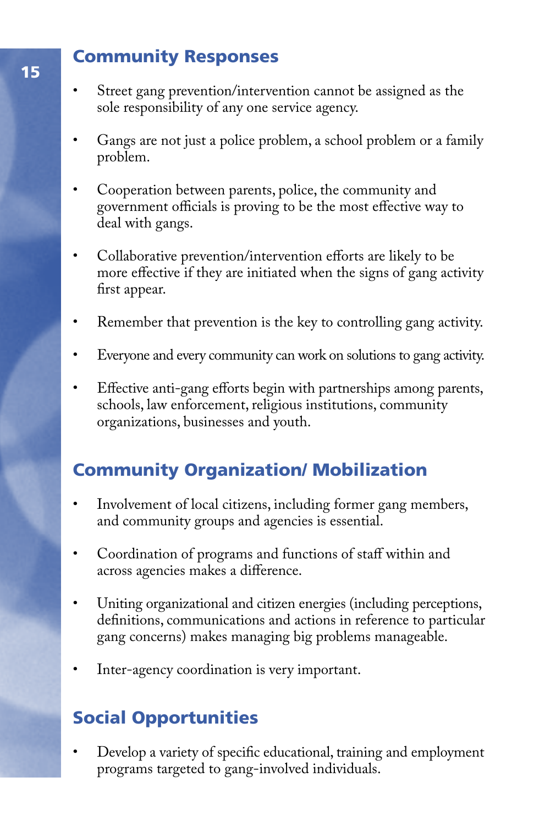## Community Responses

- Street gang prevention/intervention cannot be assigned as the sole responsibility of any one service agency.
- Gangs are not just a police problem, a school problem or a family problem.
- Cooperation between parents, police, the community and government officials is proving to be the most effective way to deal with gangs.
- Collaborative prevention/intervention efforts are likely to be more effective if they are initiated when the signs of gang activity first appear.
- Remember that prevention is the key to controlling gang activity.
- Everyone and every community can work on solutions to gang activity.
- Effective anti-gang efforts begin with partnerships among parents, schools, law enforcement, religious institutions, community organizations, businesses and youth.

# Community Organization/ Mobilization

- Involvement of local citizens, including former gang members, and community groups and agencies is essential.
- Coordination of programs and functions of staff within and across agencies makes a difference.
- Uniting organizational and citizen energies (including perceptions, definitions, communications and actions in reference to particular gang concerns) makes managing big problems manageable.
- Inter-agency coordination is very important.

# Social Opportunities

• Develop a variety of specific educational, training and employment programs targeted to gang-involved individuals.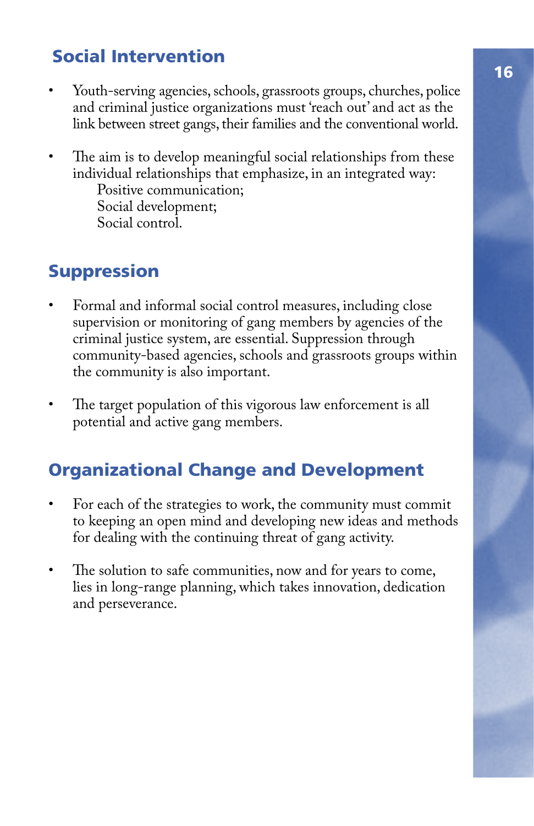# Social Intervention

- Youth-serving agencies, schools, grassroots groups, churches, police and criminal justice organizations must 'reach out' and act as the link between street gangs, their families and the conventional world.
- The aim is to develop meaningful social relationships from these individual relationships that emphasize, in an integrated way: Positive communication;

 Social development; Social control.

# **Suppression**

- Formal and informal social control measures, including close supervision or monitoring of gang members by agencies of the criminal justice system, are essential. Suppression through community-based agencies, schools and grassroots groups within the community is also important.
- The target population of this vigorous law enforcement is all potential and active gang members.

# Organizational Change and Development

- For each of the strategies to work, the community must commit to keeping an open mind and developing new ideas and methods for dealing with the continuing threat of gang activity.
- The solution to safe communities, now and for years to come, lies in long-range planning, which takes innovation, dedication and perseverance.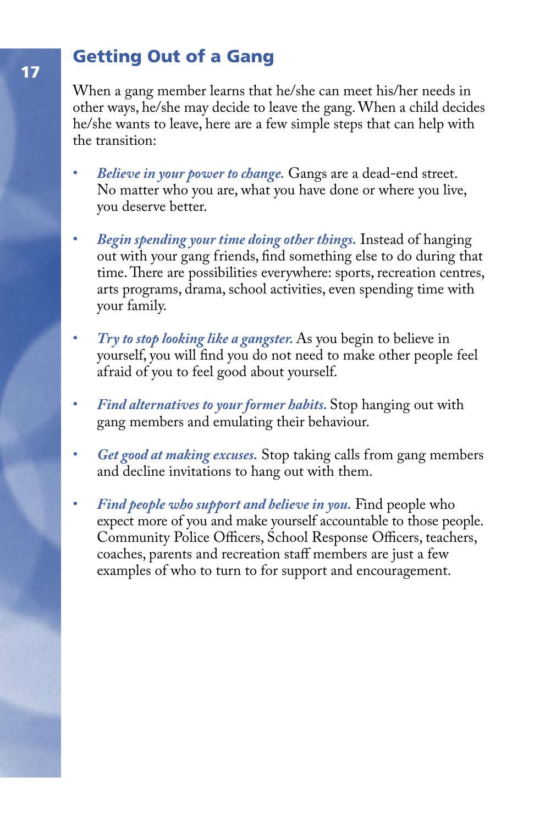# Getting Out of a Gang

When a gang member learns that he/she can meet his/her needs in other ways, he/she may decide to leave the gang. When a child decides he/she wants to leave, here are a few simple steps that can help with the transition:

- *Believe in your power to change.* Gangs are a dead-end street. No matter who you are, what you have done or where you live, you deserve better.
- *Begin spending your time doing other things.* Instead of hanging out with your gang friends, find something else to do during that time. There are possibilities everywhere: sports, recreation centres, arts programs, drama, school activities, even spending time with your family.
- *Try to stop looking like a gangster.* As you begin to believe in yourself, you will find you do not need to make other people feel afraid of you to feel good about yourself.
- *Find alternatives to your former habits.* Stop hanging out with gang members and emulating their behaviour.
- *Get good at making excuses.* Stop taking calls from gang members and decline invitations to hang out with them.
- *Find people who support and believe in you.* Find people who expect more of you and make yourself accountable to those people. Community Police Officers, School Response Officers, teachers, coaches, parents and recreation staff members are just a few examples of who to turn to for support and encouragement.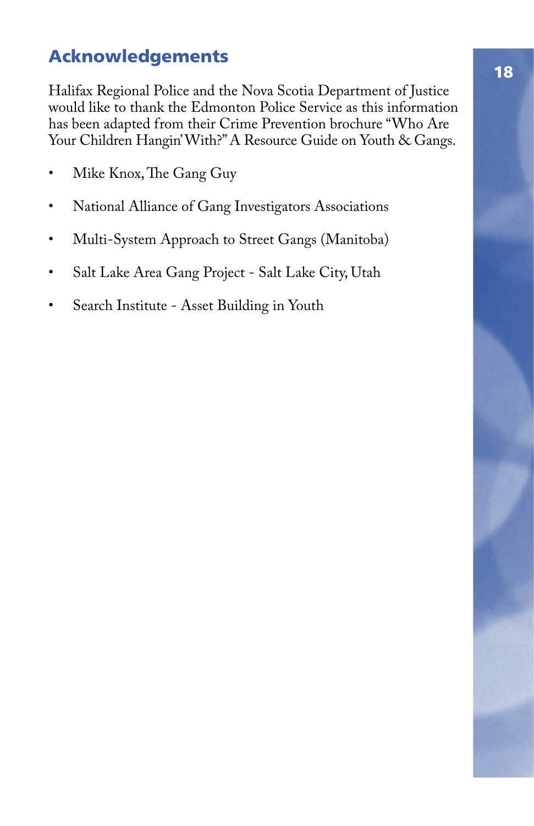# Acknowledgements

Halifax Regional Police and the Nova Scotia Department of Justice would like to thank the Edmonton Police Service as this information has been adapted from their Crime Prevention brochure "Who Are Your Children Hangin' With?" A Resource Guide on Youth & Gangs.

- Mike Knox, The Gang Guy
- National Alliance of Gang Investigators Associations
- Multi-System Approach to Street Gangs (Manitoba)
- Salt Lake Area Gang Project Salt Lake City, Utah
- Search Institute Asset Building in Youth